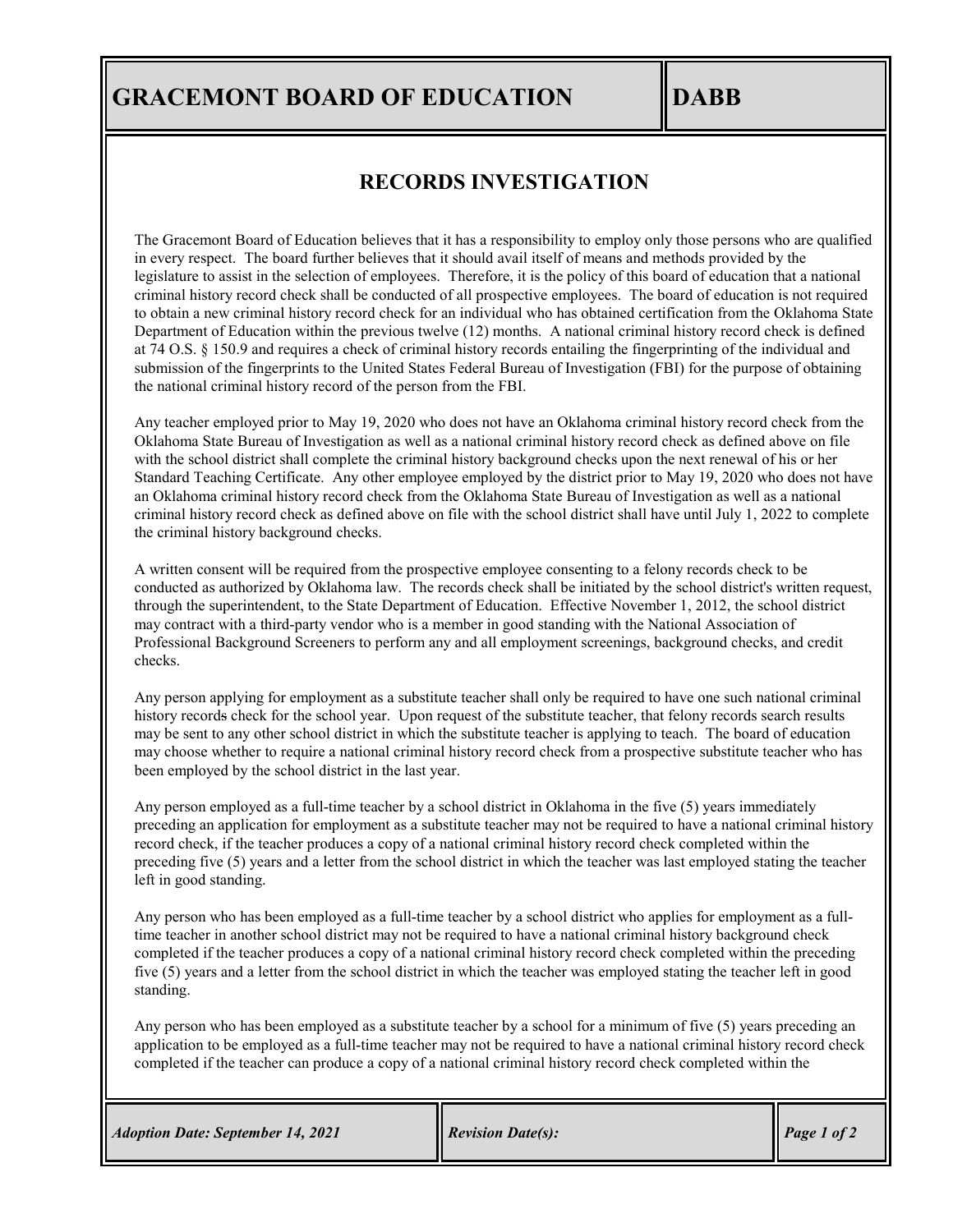# **GRACEMONT BOARD OF EDUCATION IDABB**

## **RECORDS INVESTIGATION**

The Gracemont Board of Education believes that it has a responsibility to employ only those persons who are qualified in every respect. The board further believes that it should avail itself of means and methods provided by the legislature to assist in the selection of employees. Therefore, it is the policy of this board of education that a national criminal history record check shall be conducted of all prospective employees. The board of education is not required to obtain a new criminal history record check for an individual who has obtained certification from the Oklahoma State Department of Education within the previous twelve (12) months. A national criminal history record check is defined at 74 O.S. § 150.9 and requires a check of criminal history records entailing the fingerprinting of the individual and submission of the fingerprints to the United States Federal Bureau of Investigation (FBI) for the purpose of obtaining the national criminal history record of the person from the FBI.

Any teacher employed prior to May 19, 2020 who does not have an Oklahoma criminal history record check from the Oklahoma State Bureau of Investigation as well as a national criminal history record check as defined above on file with the school district shall complete the criminal history background checks upon the next renewal of his or her Standard Teaching Certificate. Any other employee employed by the district prior to May 19, 2020 who does not have an Oklahoma criminal history record check from the Oklahoma State Bureau of Investigation as well as a national criminal history record check as defined above on file with the school district shall have until July 1, 2022 to complete the criminal history background checks.

A written consent will be required from the prospective employee consenting to a felony records check to be conducted as authorized by Oklahoma law. The records check shall be initiated by the school district's written request, through the superintendent, to the State Department of Education. Effective November 1, 2012, the school district may contract with a third-party vendor who is a member in good standing with the National Association of Professional Background Screeners to perform any and all employment screenings, background checks, and credit checks.

Any person applying for employment as a substitute teacher shall only be required to have one such national criminal history records check for the school year. Upon request of the substitute teacher, that felony records search results may be sent to any other school district in which the substitute teacher is applying to teach. The board of education may choose whether to require a national criminal history record check from a prospective substitute teacher who has been employed by the school district in the last year.

Any person employed as a full-time teacher by a school district in Oklahoma in the five (5) years immediately preceding an application for employment as a substitute teacher may not be required to have a national criminal history record check, if the teacher produces a copy of a national criminal history record check completed within the preceding five (5) years and a letter from the school district in which the teacher was last employed stating the teacher left in good standing.

Any person who has been employed as a full-time teacher by a school district who applies for employment as a fulltime teacher in another school district may not be required to have a national criminal history background check completed if the teacher produces a copy of a national criminal history record check completed within the preceding five (5) years and a letter from the school district in which the teacher was employed stating the teacher left in good standing.

Any person who has been employed as a substitute teacher by a school for a minimum of five (5) years preceding an application to be employed as a full-time teacher may not be required to have a national criminal history record check completed if the teacher can produce a copy of a national criminal history record check completed within the